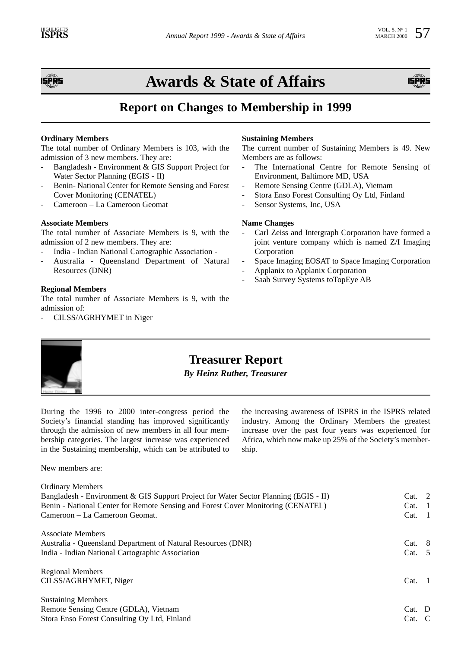

# **Awards & State of Affairs**



## **Report on Changes to Membership in 1999**

### **Ordinary Members**

The total number of Ordinary Members is 103, with the admission of 3 new members. They are:

- Bangladesh Environment & GIS Support Project for Water Sector Planning (EGIS - II)
- Benin- National Center for Remote Sensing and Forest Cover Monitoring (CENATEL)
- Cameroon La Cameroon Geomat

#### **Associate Members**

The total number of Associate Members is 9, with the admission of 2 new members. They are:

- India Indian National Cartographic Association -
- Australia Queensland Department of Natural Resources (DNR)

#### **Regional Members**

The total number of Associate Members is 9, with the admission of:

CILSS/AGRHYMET in Niger

#### **Sustaining Members**

The current number of Sustaining Members is 49. New Members are as follows:

- The International Centre for Remote Sensing of Environment, Baltimore MD, USA
- Remote Sensing Centre (GDLA), Vietnam
- Stora Enso Forest Consulting Oy Ltd, Finland
- Sensor Systems, Inc, USA

#### **Name Changes**

- Carl Zeiss and Intergraph Corporation have formed a joint venture company which is named Z/I Imaging Corporation
- Space Imaging EOSAT to Space Imaging Corporation
- Applanix to Applanix Corporation
- Saab Survey Systems toTopEye AB



## **Treasurer Report**

*By Heinz Ruther, Treasurer*

During the 1996 to 2000 inter-congress period the Society's financial standing has improved significantly through the admission of new members in all four membership categories. The largest increase was experienced in the Sustaining membership, which can be attributed to

New members are:

the increasing awareness of ISPRS in the ISPRS related industry. Among the Ordinary Members the greatest increase over the past four years was experienced for Africa, which now make up 25% of the Society's membership.

| <b>Ordinary Members</b><br>Bangladesh - Environment & GIS Support Project for Water Sector Planning (EGIS - II)<br>Benin - National Center for Remote Sensing and Forest Cover Monitoring (CENATEL)<br>Cameroon – La Cameroon Geomat. | Cat. 2<br>Cat. 1<br>Cat. | $\blacksquare$ |
|---------------------------------------------------------------------------------------------------------------------------------------------------------------------------------------------------------------------------------------|--------------------------|----------------|
| Associate Members                                                                                                                                                                                                                     |                          |                |
| Australia - Queensland Department of Natural Resources (DNR)                                                                                                                                                                          | Cat. 8                   |                |
| India - Indian National Cartographic Association                                                                                                                                                                                      | Cat. 5                   |                |
| <b>Regional Members</b>                                                                                                                                                                                                               |                          |                |
| CILSS/AGRHYMET, Niger                                                                                                                                                                                                                 | Cat.                     |                |
| <b>Sustaining Members</b>                                                                                                                                                                                                             |                          |                |
| Remote Sensing Centre (GDLA), Vietnam                                                                                                                                                                                                 | Cat. D                   |                |
| Stora Enso Forest Consulting Oy Ltd, Finland                                                                                                                                                                                          | $Cat. \quad C$           |                |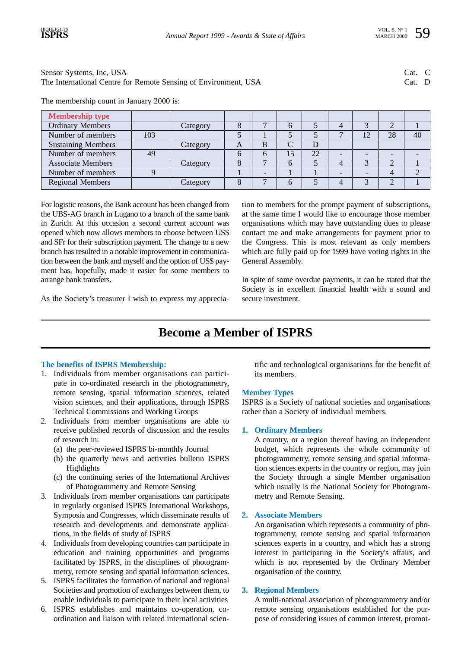Sensor Systems, Inc, USA Cat. C The International Centre for Remote Sensing of Environment, USA Cat. D

The membership count in January 2000 is:

| <b>Membership type</b>    |     |          |   |   |    |    |   |    |    |    |
|---------------------------|-----|----------|---|---|----|----|---|----|----|----|
| Ordinary Members          |     | Category |   |   |    |    | 4 |    |    |    |
| Number of members         | 103 |          |   |   |    |    | − | 12 | 28 | 40 |
| <b>Sustaining Members</b> |     | Category | A | B |    |    |   |    |    |    |
| Number of members         | 49  |          | n | h | 15 | 22 |   |    |    |    |
| <b>Associate Members</b>  |     | Category |   |   | 6  |    | 4 |    |    |    |
| Number of members         |     |          |   |   |    |    |   |    |    |    |
| <b>Regional Members</b>   |     | Category |   |   | 6  |    | 4 |    |    |    |

For logistic reasons, the Bank account has been changed from the UBS-AG branch in Lugano to a branch of the same bank in Zurich. At this occasion a second current account was opened which now allows members to choose between US\$ and SFr for their subscription payment. The change to a new branch has resulted in a notable improvement in communication between the bank and myself and the option of US\$ payment has, hopefully, made it easier for some members to arrange bank transfers.

tion to members for the prompt payment of subscriptions, at the same time I would like to encourage those member organisations which may have outstanding dues to please contact me and make arrangements for payment prior to the Congress. This is most relevant as only members which are fully paid up for 1999 have voting rights in the General Assembly.

In spite of some overdue payments, it can be stated that the Society is in excellent financial health with a sound and secure investment.

As the Society's treasurer I wish to express my apprecia-

## **Become a Member of ISPRS**

### **The benefits of ISPRS Membership:**

- 1. Individuals from member organisations can participate in co-ordinated research in the photogrammetry, remote sensing, spatial information sciences, related vision sciences, and their applications, through ISPRS Technical Commissions and Working Groups
- 2. Individuals from member organisations are able to receive published records of discussion and the results of research in:
	- (a) the peer-reviewed ISPRS bi-monthly Journal
	- (b) the quarterly news and activities bulletin ISPRS Highlights
	- (c) the continuing series of the International Archives of Photogrammetry and Remote Sensing
- 3. Individuals from member organisations can participate in regularly organised ISPRS International Workshops, Symposia and Congresses, which disseminate results of research and developments and demonstrate applications, in the fields of study of ISPRS
- 4. Individuals from developing countries can participate in education and training opportunities and programs facilitated by ISPRS, in the disciplines of photogrammetry, remote sensing and spatial information sciences.
- 5. ISPRS facilitates the formation of national and regional Societies and promotion of exchanges between them, to enable individuals to participate in their local activities
- 6. ISPRS establishes and maintains co-operation, coordination and liaison with related international scien-

tific and technological organisations for the benefit of its members.

### **Member Types**

ISPRS is a Society of national societies and organisations rather than a Society of individual members.

### **1. Ordinary Members**

A country, or a region thereof having an independent budget, which represents the whole community of photogrammetry, remote sensing and spatial information sciences experts in the country or region, may join the Society through a single Member organisation which usually is the National Society for Photogrammetry and Remote Sensing.

### **2. Associate Members**

An organisation which represents a community of photogrammetry, remote sensing and spatial information sciences experts in a country, and which has a strong interest in participating in the Society's affairs, and which is not represented by the Ordinary Member organisation of the country.

### **3. Regional Members**

A multi-national association of photogrammetry and/or remote sensing organisations established for the purpose of considering issues of common interest, promot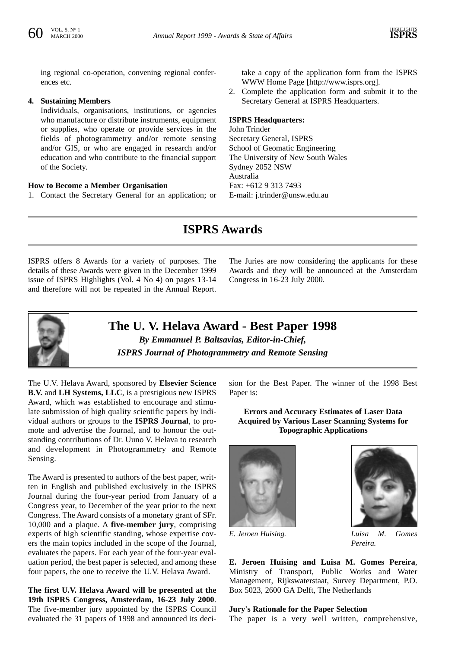ing regional co-operation, convening regional conferences etc.

#### **4. Sustaining Members**

Individuals, organisations, institutions, or agencies who manufacture or distribute instruments, equipment or supplies, who operate or provide services in the fields of photogrammetry and/or remote sensing and/or GIS, or who are engaged in research and/or education and who contribute to the financial support of the Society.

#### **How to Become a Member Organisation**

1. Contact the Secretary General for an application; or

take a copy of the application form from the ISPRS WWW Home Page [http://www.isprs.org].

2. Complete the application form and submit it to the Secretary General at ISPRS Headquarters.

#### **ISPRS Headquarters:**

John Trinder Secretary General, ISPRS School of Geomatic Engineering The University of New South Wales Sydney 2052 NSW Australia Fax: +612 9 313 7493 E-mail: j.trinder@unsw.edu.au

## **ISPRS Awards**

ISPRS offers 8 Awards for a variety of purposes. The details of these Awards were given in the December 1999 issue of ISPRS Highlights (Vol. 4 No 4) on pages 13-14 and therefore will not be repeated in the Annual Report.

The Juries are now considering the applicants for these Awards and they will be announced at the Amsterdam Congress in 16-23 July 2000.



**The U. V. Helava Award - Best Paper 1998** *By Emmanuel P. Baltsavias, Editor-in-Chief, ISPRS Journal of Photogrammetry and Remote Sensing*

The U.V. Helava Award, sponsored by **Elsevier Science B.V.** and **LH Systems, LLC**, is a prestigious new ISPRS Award, which was established to encourage and stimulate submission of high quality scientific papers by individual authors or groups to the **ISPRS Journal**, to promote and advertise the Journal, and to honour the outstanding contributions of Dr. Uuno V. Helava to research and development in Photogrammetry and Remote Sensing.

The Award is presented to authors of the best paper, written in English and published exclusively in the ISPRS Journal during the four-year period from January of a Congress year, to December of the year prior to the next Congress. The Award consists of a monetary grant of SFr. 10,000 and a plaque. A **five-member jury**, comprising experts of high scientific standing, whose expertise covers the main topics included in the scope of the Journal, evaluates the papers. For each year of the four-year evaluation period, the best paper is selected, and among these four papers, the one to receive the U.V. Helava Award.

**The first U.V. Helava Award will be presented at the 19th ISPRS Congress, Amsterdam, 16-23 July 2000**. The five-member jury appointed by the ISPRS Council evaluated the 31 papers of 1998 and announced its decision for the Best Paper. The winner of the 1998 Best Paper is:

**Errors and Accuracy Estimates of Laser Data Acquired by Various Laser Scanning Systems for Topographic Applications**





*E. Jeroen Huising. Luisa M. Gomes Pereira.*

**E. Jeroen Huising and Luisa M. Gomes Pereira**, Ministry of Transport, Public Works and Water Management, Rijkswaterstaat, Survey Department, P.O. Box 5023, 2600 GA Delft, The Netherlands

#### **Jury's Rationale for the Paper Selection**

The paper is a very well written, comprehensive,